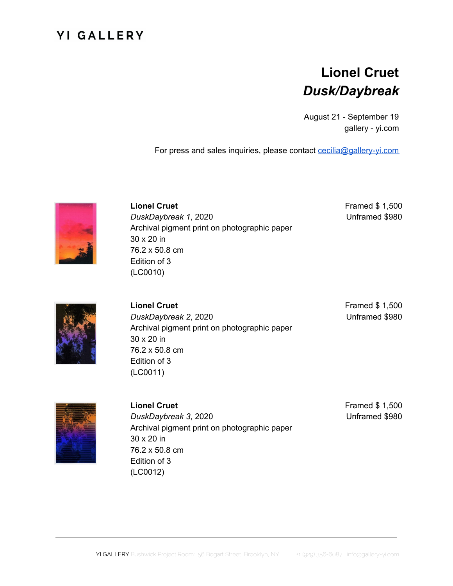## **YI GALLERY**

## **Lionel Cruet** *Dusk/Daybreak*

August 21 - September 19 gallery - yi.com

For press and sales inquiries, please contact [cecilia@gallery-yi.com](mailto:cecilia@gallery-yi.com)



**Lionel Cruet** *DuskDaybreak 1*, 2020 Archival pigment print on photographic paper 30 x 20 in 76.2 x 50.8 cm Edition of 3 (LC0010)

Framed \$ 1,500 Unframed \$980



**Lionel Cruet** *DuskDaybreak 2*, 2020 Archival pigment print on photographic paper 30 x 20 in 76.2 x 50.8 cm Edition of 3 (LC0011)

Framed \$ 1,500 Unframed \$980



**Lionel Cruet** *DuskDaybreak 3*, 2020 Archival pigment print on photographic paper 30 x 20 in 76.2 x 50.8 cm Edition of 3 (LC0012)

Framed \$ 1,500 Unframed \$980